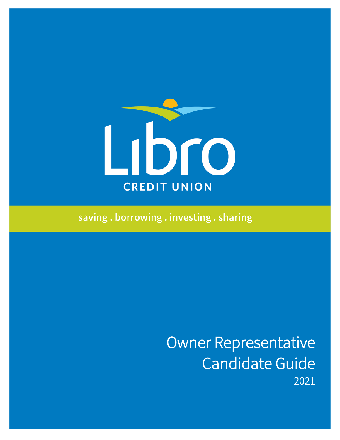

saving.borrowing.investing.sharing

Owner Representative Candidate Guide<br>2021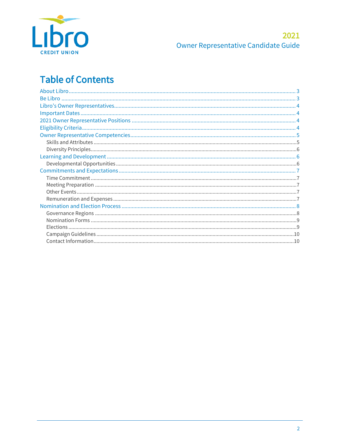

#### 2021 Owner Representative Candidate Guide

# **Table of Contents**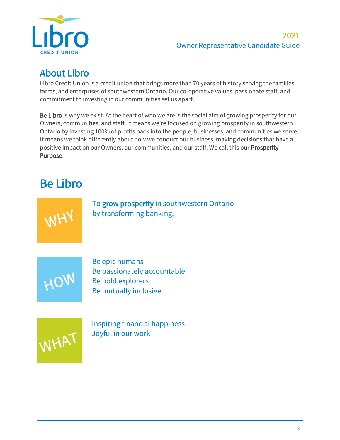

#### 2021 Owner Representative Candidate Guide

<span id="page-2-0"></span>About Libro<br>Libro Credit Union is a credit union that brings more than 70 years of history serving the families, farms, and enterprises of southwestern Ontario. Our co-operative values, passionate staff, and commitment to investing in our communities set us apart.

Be Libro is why we exist. At the heart of who we are is the social aim of growing prosperity for our Owners, communities, and staff. It means we're focused on growing prosperity in southwestern Ontario by investing 100% of profits back into the people, businesses, and communities we serve. It means we think differently about how we conduct our business, making decisions that have a positive impact on our Owners, our communities, and our staff. We call this our Prosperity Purpose.

# <span id="page-2-1"></span>Be Libro

WHY

To grow prosperity in southwestern Ontario by transforming banking.



Be epic humans Be passionately accountable Be bold explorers Be mutually inclusive



Inspiring financial happiness Joyful in our work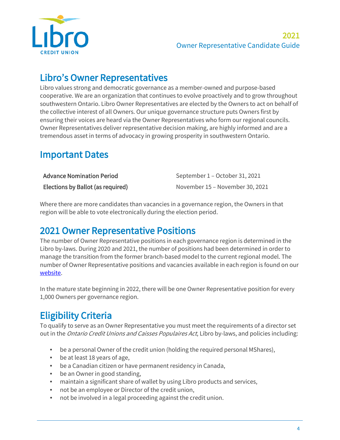

## <span id="page-3-0"></span>Libro's Owner Representatives

Libro values strong and democratic governance as a member-owned and purpose-based cooperative. We are an organization that continues to evolve proactively and to grow throughout southwestern Ontario. Libro Owner Representatives are elected by the Owners to act on behalf of the collective interest of all Owners. Our unique governance structure puts Owners first by ensuring their voices are heard via the Owner Representatives who form our regional councils. Owner Representatives deliver representative decision making, are highly informed and are a tremendous asset in terms of advocacy in growing prosperity in southwestern Ontario.

## <span id="page-3-1"></span>Important Dates

| Advance Nomination Period         | September 1 – October 31, 2021  |
|-----------------------------------|---------------------------------|
| Elections by Ballot (as required) | November 15 – November 30, 2021 |

Where there are more candidates than vacancies in a governance region, the Owners in that region will be able to vote electronically during the election period.

<span id="page-3-2"></span>2021 Owner Representative Positions<br>The number of Owner Representative positions in each governance region is determined in the Libro by-laws. During 2020 and 2021, the number of positions had been determined in order to manage the transition from the former branch-based model to the current regional model. The number of Owner Representative positions and vacancies available in each region is found on our [website.](https://www.libro.ca/about/governance/nominations-elections)

In the mature state beginning in 2022, there will be one Owner Representative position for every 1,000 Owners per governance region.

<span id="page-3-3"></span>**Eligibility Criteria**<br>To qualify to serve as an Owner Representative you must meet the requirements of a director set out in the Ontario Credit Unions and Caisses Populaires Act, Libro by-laws, and policies including:

- be a personal Owner of the credit union (holding the required personal MShares),
- be at least 18 years of age,
- be a Canadian citizen or have permanent residency in Canada,
- be an Owner in good standing,
- maintain a significant share of wallet by using Libro products and services,
- not be an employee or Director of the credit union,
- not be involved in a legal proceeding against the credit union.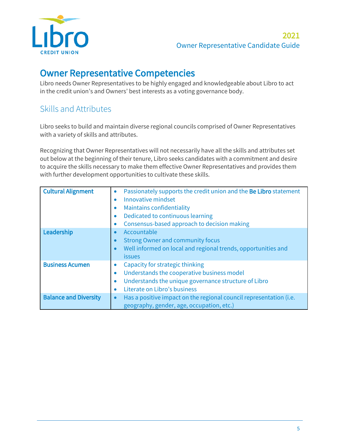

<span id="page-4-0"></span>**Owner Representative Competencies**<br>Libro needs Owner Representatives to be highly engaged and knowledgeable about Libro to act in the credit union's and Owners' best interests as a voting governance body.

## <span id="page-4-1"></span>Skills and Attributes

Libro seeks to build and maintain diverse regional councils comprised of Owner Representatives with a variety of skills and attributes.

Recognizing that Owner Representatives will not necessarily have all the skills and attributes set out below at the beginning of their tenure, Libro seeks candidates with a commitment and desire to acquire the skills necessary to make them effective Owner Representatives and provides them with further development opportunities to cultivate these skills.

| <b>Cultural Alignment</b>    | Passionately supports the credit union and the Be Libro statement<br>Innovative mindset<br>$\bullet$<br><b>Maintains confidentiality</b><br>Dedicated to continuous learning<br>Consensus-based approach to decision making |
|------------------------------|-----------------------------------------------------------------------------------------------------------------------------------------------------------------------------------------------------------------------------|
| Leadership                   | Accountable<br><b>Strong Owner and community focus</b><br>Well informed on local and regional trends, opportunities and<br>$\bullet$<br><i>issues</i>                                                                       |
| <b>Business Acumen</b>       | Capacity for strategic thinking<br>Understands the cooperative business model<br>$\bullet$<br>Understands the unique governance structure of Libro<br>Literate on Libro's business<br>$\bullet$                             |
| <b>Balance and Diversity</b> | Has a positive impact on the regional council representation (i.e.<br>geography, gender, age, occupation, etc.)                                                                                                             |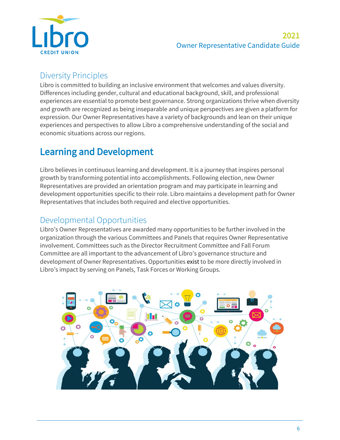

### <span id="page-5-0"></span>Diversity Principles

Libro is committed to building an inclusive environment that welcomes and values diversity. Differences including gender, cultural and educational background, skill, and professional experiences are essential to promote best governance. Strong organizations thrive when diversity and growth are recognized as being inseparable and unique perspectives are given a platform for expression. Our Owner Representatives have a variety of backgrounds and lean on their unique experiences and perspectives to allow Libro a comprehensive understanding of the social and economic situations across our regions.

## <span id="page-5-1"></span>Learning and Development

Libro believes in continuous learning and development. It is a journey that inspires personal growth by transforming potential into accomplishments. Following election, new Owner Representatives are provided an orientation program and may participate in learning and development opportunities specific to their role. Libro maintains a development path for Owner Representatives that includes both required and elective opportunities.

### <span id="page-5-2"></span>Developmental Opportunities

Libro's Owner Representatives are awarded many opportunities to be further involved in the organization through the various Committees and Panels that requires Owner Representative involvement. Committees such as the Director Recruitment Committee and Fall Forum Committee are all important to the advancement of Libro's governance structure and development of Owner Representatives. Opportunities exist to be more directly involved in Libro's impact by serving on Panels, Task Forces or Working Groups.

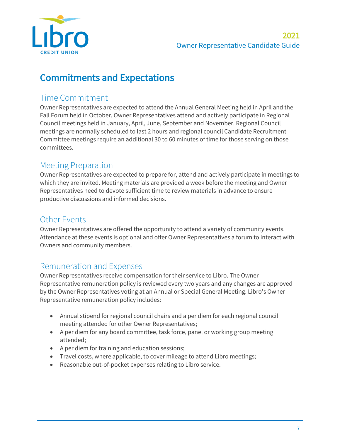

## <span id="page-6-0"></span>Commitments and Expectations

#### <span id="page-6-1"></span>Time Commitment

Owner Representatives are expected to attend the Annual General Meeting held in April and the Fall Forum held in October. Owner Representatives attend and actively participate in Regional Council meetings held in January, April, June, September and November. Regional Council meetings are normally scheduled to last 2 hours and regional council Candidate Recruitment Committee meetings require an additional 30 to 60 minutes of time for those serving on those committees.

#### <span id="page-6-2"></span>Meeting Preparation

Owner Representatives are expected to prepare for, attend and actively participate in meetings to which they are invited. Meeting materials are provided a week before the meeting and Owner Representatives need to devote sufficient time to review materials in advance to ensure productive discussions and informed decisions.

#### <span id="page-6-3"></span>Other Events

Owner Representatives are offered the opportunity to attend a variety of community events. Attendance at these events is optional and offer Owner Representatives a forum to interact with Owners and community members.

#### <span id="page-6-4"></span>Remuneration and Expenses

Owner Representatives receive compensation for their service to Libro. The Owner Representative remuneration policy is reviewed every two years and any changes are approved by the Owner Representatives voting at an Annual or Special General Meeting. Libro's Owner Representative remuneration policy includes:

- Annual stipend for regional council chairs and a per diem for each regional council meeting attended for other Owner Representatives;
- A per diem for any board committee, task force, panel or working group meeting attended;
- A per diem for training and education sessions;
- Travel costs, where applicable, to cover mileage to attend Libro meetings;
- Reasonable out-of-pocket expenses relating to Libro service.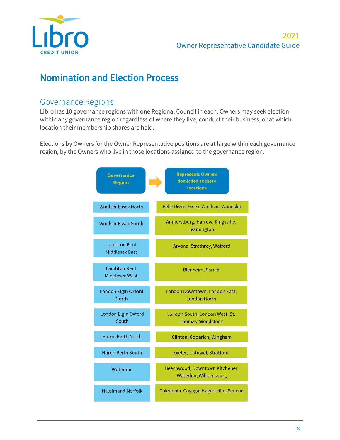

## <span id="page-7-0"></span>Nomination and Election Process

#### <span id="page-7-1"></span>Governance Regions

Libro has 10 governance regions with one Regional Council in each. Owners may seek election within any governance region regardless of where they live, conduct their business, or at which location their membership shares are held.

Elections by Owners for the Owner Representative positions are at large within each governance region, by the Owners who live in those locations assigned to the governance region.

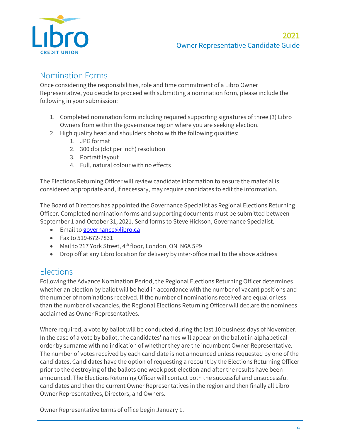

#### <span id="page-8-0"></span>Nomination Forms

Once considering the responsibilities, role and time commitment of a Libro Owner Representative, you decide to proceed with submitting a nomination form, please include the following in your submission:

- 1. Completed nomination form including required supporting signatures of three (3) Libro Owners from within the governance region where you are seeking election.
- 2. High quality head and shoulders photo with the following qualities:
	- 1. JPG format
	- 2. 300 dpi (dot per inch) resolution
	- 3. Portrait layout
	- 4. Full, natural colour with no effects

The Elections Returning Officer will review candidate information to ensure the material is considered appropriate and, if necessary, may require candidates to edit the information.

The Board of Directors has appointed the Governance Specialist as Regional Elections Returning Officer. Completed nomination forms and supporting documents must be submitted between September 1 and October 31, 2021. Send forms to Steve Hickson, Governance Specialist.

- Email to [governance@libro.ca](mailto:governance@libro.ca)
- Fax to 519-672-7831
- Mail to 217 York Street, 4<sup>th</sup> floor, London, ON N6A 5P9
- Drop off at any Libro location for delivery by inter-office mail to the above address

#### <span id="page-8-1"></span>**Elections**

Following the Advance Nomination Period, the Regional Elections Returning Officer determines whether an election by ballot will be held in accordance with the number of vacant positions and the number of nominations received. If the number of nominations received are equal or less than the number of vacancies, the Regional Elections Returning Officer will declare the nominees acclaimed as Owner Representatives.

Where required, a vote by ballot will be conducted during the last 10 business days of November. In the case of a vote by ballot, the candidates' names will appear on the ballot in alphabetical order by surname with no indication of whether they are the incumbent Owner Representative. The number of votes received by each candidate is not announced unless requested by one of the candidates. Candidates have the option of requesting a recount by the Elections Returning Officer prior to the destroying of the ballots one week post-election and after the results have been announced. The Elections Returning Officer will contact both the successful and unsuccessful candidates and then the current Owner Representatives in the region and then finally all Libro Owner Representatives, Directors, and Owners.

Owner Representative terms of office begin January 1.